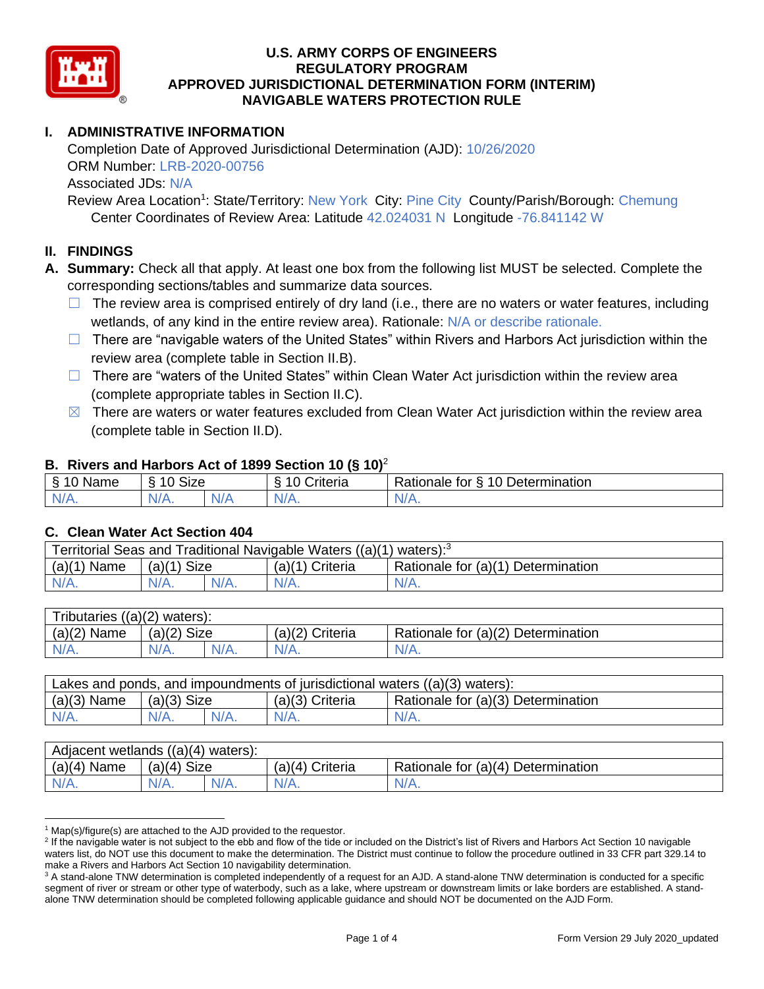

# **I. ADMINISTRATIVE INFORMATION**

Completion Date of Approved Jurisdictional Determination (AJD): 10/26/2020 ORM Number: LRB-2020-00756 Associated JDs: N/A

Review Area Location<sup>1</sup>: State/Territory: New York City: Pine City County/Parish/Borough: Chemung Center Coordinates of Review Area: Latitude 42.024031 N Longitude -76.841142 W

### **II. FINDINGS**

**A. Summary:** Check all that apply. At least one box from the following list MUST be selected. Complete the corresponding sections/tables and summarize data sources.

- $\Box$  The review area is comprised entirely of dry land (i.e., there are no waters or water features, including wetlands, of any kind in the entire review area). Rationale: N/A or describe rationale.
- $\Box$  There are "navigable waters of the United States" within Rivers and Harbors Act jurisdiction within the review area (complete table in Section II.B).
- $\Box$  There are "waters of the United States" within Clean Water Act jurisdiction within the review area (complete appropriate tables in Section II.C).
- $\boxtimes$  There are waters or water features excluded from Clean Water Act jurisdiction within the review area (complete table in Section II.D).

#### **B. Rivers and Harbors Act of 1899 Section 10 (§ 10)**<sup>2</sup>

| $\cdot$      |                                            |      |                            |                                      |  |  |  |  |  |
|--------------|--------------------------------------------|------|----------------------------|--------------------------------------|--|--|--|--|--|
| Name         | <b>Size</b><br>$\overline{A}$<br>C.<br>ιι. |      | . .<br>10<br>-<br>triteria | 10 Determination<br>tor<br>∺ationale |  |  |  |  |  |
| N/f<br>17 m. | N/A.                                       | NI / |                            | N/A.                                 |  |  |  |  |  |

#### **C. Clean Water Act Section 404**

| Territorial Seas and Traditional Navigable Waters $((a)(1)$ waters): <sup>3</sup> |                       |  |                   |                                    |  |  |  |  |
|-----------------------------------------------------------------------------------|-----------------------|--|-------------------|------------------------------------|--|--|--|--|
| (a)(1)<br>Name                                                                    | <b>Size</b><br>(a)(1) |  | $(a)(1)$ Criteria | Rationale for (a)(1) Determination |  |  |  |  |
| IV/A.                                                                             | $N/A$ .               |  | N/A.              | $N/A$ .                            |  |  |  |  |

| Tributaries $((a)(2)$ waters): |                |  |                   |                                    |  |  |  |  |
|--------------------------------|----------------|--|-------------------|------------------------------------|--|--|--|--|
| $(a)(2)$ Name                  | (a)(2)<br>Size |  | $(a)(2)$ Criteria | Rationale for (a)(2) Determination |  |  |  |  |
| $N/A$ .                        | $N/A$ .        |  | $N/A$ .           | N/A.                               |  |  |  |  |

| Lakes and ponds, and impoundments of jurisdictional waters $((a)(3)$ waters): |               |  |                   |                                    |  |  |  |
|-------------------------------------------------------------------------------|---------------|--|-------------------|------------------------------------|--|--|--|
| $(a)(3)$ Name                                                                 | $(a)(3)$ Size |  | $(a)(3)$ Criteria | Rationale for (a)(3) Determination |  |  |  |
| $N/A$ .                                                                       | $N/A$ .       |  | $N/A$ .           | $N/A$ .                            |  |  |  |

| Adjacent wetlands ((a)(4) waters): |                |  |                    |                                    |  |  |  |  |
|------------------------------------|----------------|--|--------------------|------------------------------------|--|--|--|--|
| $(a)(4)$ Name                      | Size<br>(a)(4) |  | Criteria<br>(a)(4) | Rationale for (a)(4) Determination |  |  |  |  |
| $N/A$ .                            | $N/A$ .        |  | $N/A$ .            | $N/A$ .                            |  |  |  |  |

 $1$  Map(s)/figure(s) are attached to the AJD provided to the requestor.

<sup>&</sup>lt;sup>2</sup> If the navigable water is not subject to the ebb and flow of the tide or included on the District's list of Rivers and Harbors Act Section 10 navigable waters list, do NOT use this document to make the determination. The District must continue to follow the procedure outlined in 33 CFR part 329.14 to make a Rivers and Harbors Act Section 10 navigability determination.

<sup>&</sup>lt;sup>3</sup> A stand-alone TNW determination is completed independently of a request for an AJD. A stand-alone TNW determination is conducted for a specific segment of river or stream or other type of waterbody, such as a lake, where upstream or downstream limits or lake borders are established. A standalone TNW determination should be completed following applicable guidance and should NOT be documented on the AJD Form.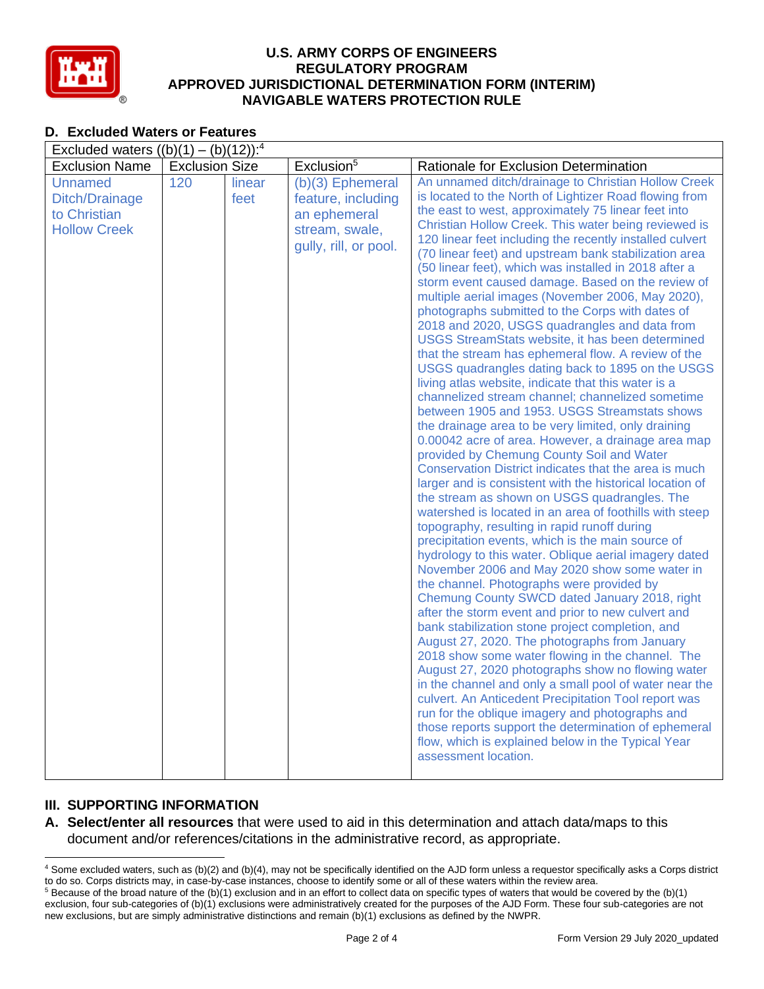

## **D. Excluded Waters or Features**

| Excluded waters $((b)(1) - (b)(12))$ : <sup>4</sup>                     |                       |                |                                                                                                     |                                                                                                                                                                                                                                                                                                                                                                                                                                                                                                                                                                                                                                                                                                                                                                                                                                                                                                                                                                                                                                                                                                                                                                                                                                                                                                                                                                                                                                                                                                                                                                                                                                                                                                                                                                                                                                                                                                                                                                                                                                                                                                                                                                                                                                            |  |  |  |
|-------------------------------------------------------------------------|-----------------------|----------------|-----------------------------------------------------------------------------------------------------|--------------------------------------------------------------------------------------------------------------------------------------------------------------------------------------------------------------------------------------------------------------------------------------------------------------------------------------------------------------------------------------------------------------------------------------------------------------------------------------------------------------------------------------------------------------------------------------------------------------------------------------------------------------------------------------------------------------------------------------------------------------------------------------------------------------------------------------------------------------------------------------------------------------------------------------------------------------------------------------------------------------------------------------------------------------------------------------------------------------------------------------------------------------------------------------------------------------------------------------------------------------------------------------------------------------------------------------------------------------------------------------------------------------------------------------------------------------------------------------------------------------------------------------------------------------------------------------------------------------------------------------------------------------------------------------------------------------------------------------------------------------------------------------------------------------------------------------------------------------------------------------------------------------------------------------------------------------------------------------------------------------------------------------------------------------------------------------------------------------------------------------------------------------------------------------------------------------------------------------------|--|--|--|
| <b>Exclusion Name</b>                                                   | <b>Exclusion Size</b> |                | Exclusion <sup>5</sup>                                                                              | Rationale for Exclusion Determination                                                                                                                                                                                                                                                                                                                                                                                                                                                                                                                                                                                                                                                                                                                                                                                                                                                                                                                                                                                                                                                                                                                                                                                                                                                                                                                                                                                                                                                                                                                                                                                                                                                                                                                                                                                                                                                                                                                                                                                                                                                                                                                                                                                                      |  |  |  |
| <b>Unnamed</b><br>Ditch/Drainage<br>to Christian<br><b>Hollow Creek</b> | 120                   | linear<br>feet | $(b)(3)$ Ephemeral<br>feature, including<br>an ephemeral<br>stream, swale,<br>gully, rill, or pool. | An unnamed ditch/drainage to Christian Hollow Creek<br>is located to the North of Lightizer Road flowing from<br>the east to west, approximately 75 linear feet into<br>Christian Hollow Creek. This water being reviewed is<br>120 linear feet including the recently installed culvert<br>(70 linear feet) and upstream bank stabilization area<br>(50 linear feet), which was installed in 2018 after a<br>storm event caused damage. Based on the review of<br>multiple aerial images (November 2006, May 2020),<br>photographs submitted to the Corps with dates of<br>2018 and 2020, USGS quadrangles and data from<br>USGS StreamStats website, it has been determined<br>that the stream has ephemeral flow. A review of the<br>USGS quadrangles dating back to 1895 on the USGS<br>living atlas website, indicate that this water is a<br>channelized stream channel; channelized sometime<br>between 1905 and 1953. USGS Streamstats shows<br>the drainage area to be very limited, only draining<br>0.00042 acre of area. However, a drainage area map<br>provided by Chemung County Soil and Water<br>Conservation District indicates that the area is much<br>larger and is consistent with the historical location of<br>the stream as shown on USGS quadrangles. The<br>watershed is located in an area of foothills with steep<br>topography, resulting in rapid runoff during<br>precipitation events, which is the main source of<br>hydrology to this water. Oblique aerial imagery dated<br>November 2006 and May 2020 show some water in<br>the channel. Photographs were provided by<br>Chemung County SWCD dated January 2018, right<br>after the storm event and prior to new culvert and<br>bank stabilization stone project completion, and<br>August 27, 2020. The photographs from January<br>2018 show some water flowing in the channel. The<br>August 27, 2020 photographs show no flowing water<br>in the channel and only a small pool of water near the<br>culvert. An Anticedent Precipitation Tool report was<br>run for the oblique imagery and photographs and<br>those reports support the determination of ephemeral<br>flow, which is explained below in the Typical Year<br>assessment location. |  |  |  |

## **III. SUPPORTING INFORMATION**

**A. Select/enter all resources** that were used to aid in this determination and attach data/maps to this document and/or references/citations in the administrative record, as appropriate.

<sup>4</sup> Some excluded waters, such as (b)(2) and (b)(4), may not be specifically identified on the AJD form unless a requestor specifically asks a Corps district to do so. Corps districts may, in case-by-case instances, choose to identify some or all of these waters within the review area.  $5$  Because of the broad nature of the (b)(1) exclusion and in an effort to collect data on specific types of waters that would be covered by the (b)(1)

exclusion, four sub-categories of (b)(1) exclusions were administratively created for the purposes of the AJD Form. These four sub-categories are not new exclusions, but are simply administrative distinctions and remain (b)(1) exclusions as defined by the NWPR.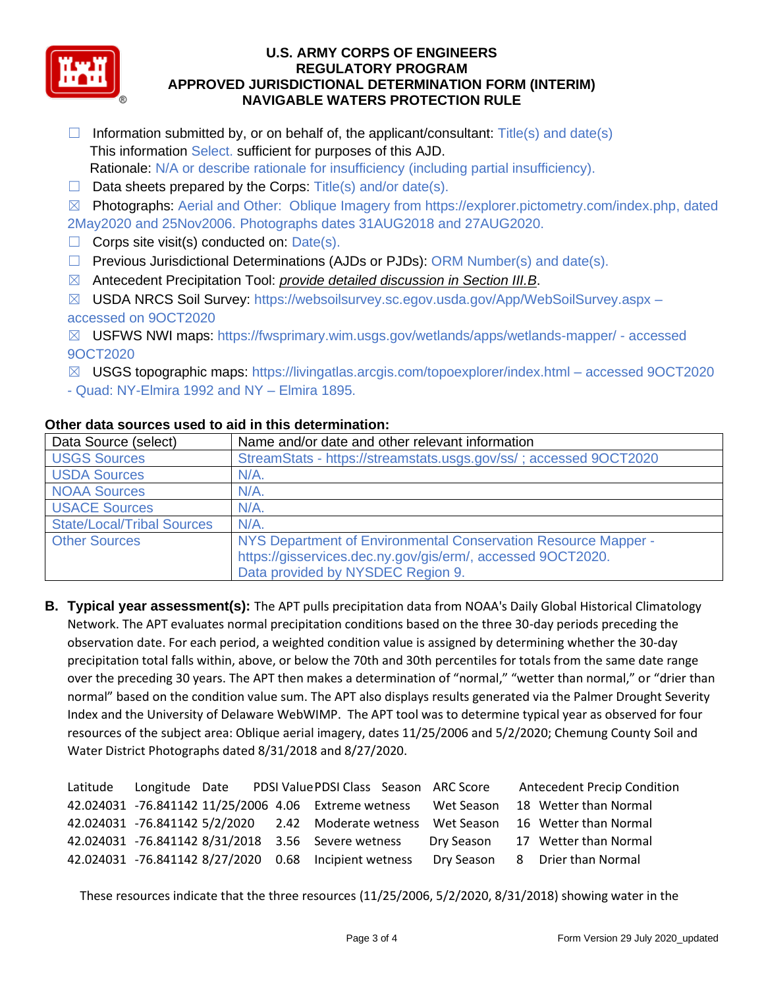

- $\Box$  Information submitted by, or on behalf of, the applicant/consultant: Title(s) and date(s) This information Select. sufficient for purposes of this AJD. Rationale: N/A or describe rationale for insufficiency (including partial insufficiency).
- $\Box$  Data sheets prepared by the Corps: Title(s) and/or date(s).

☒ Photographs: Aerial and Other: Oblique Imagery from https://explorer.pictometry.com/index.php, dated 2May2020 and 25Nov2006. Photographs dates 31AUG2018 and 27AUG2020.

- $\Box$  Corps site visit(s) conducted on: Date(s).
- ☐ Previous Jurisdictional Determinations (AJDs or PJDs): ORM Number(s) and date(s).
- ☒ Antecedent Precipitation Tool: *provide detailed discussion in Section III.B*.
- ☒ USDA NRCS Soil Survey: https://websoilsurvey.sc.egov.usda.gov/App/WebSoilSurvey.aspx accessed on 9OCT2020
- ☒ USFWS NWI maps: https://fwsprimary.wim.usgs.gov/wetlands/apps/wetlands-mapper/ accessed 9OCT2020
- $\boxtimes$  USGS topographic maps: https://livingatlas.arcgis.com/topoexplorer/index.html accessed 9OCT2020
- Quad: NY-Elmira 1992 and NY Elmira 1895.

## **Other data sources used to aid in this determination:**

| Data Source (select)              | Name and/or date and other relevant information                   |
|-----------------------------------|-------------------------------------------------------------------|
| <b>USGS Sources</b>               | StreamStats - https://streamstats.usgs.gov/ss/; accessed 9OCT2020 |
| <b>USDA Sources</b>               | $N/A$ .                                                           |
| <b>NOAA Sources</b>               | $N/A$ .                                                           |
| <b>USACE Sources</b>              | $N/A$ .                                                           |
| <b>State/Local/Tribal Sources</b> | $N/A$ .                                                           |
| <b>Other Sources</b>              | NYS Department of Environmental Conservation Resource Mapper -    |
|                                   | https://gisservices.dec.ny.gov/gis/erm/, accessed 9OCT2020.       |
|                                   | Data provided by NYSDEC Region 9.                                 |

**B. Typical year assessment(s):** The APT pulls precipitation data from NOAA's Daily Global Historical Climatology Network. The APT evaluates normal precipitation conditions based on the three 30-day periods preceding the observation date. For each period, a weighted condition value is assigned by determining whether the 30-day precipitation total falls within, above, or below the 70th and 30th percentiles for totals from the same date range over the preceding 30 years. The APT then makes a determination of "normal," "wetter than normal," or "drier than normal" based on the condition value sum. The APT also displays results generated via the Palmer Drought Severity Index and the University of Delaware WebWIMP. The APT tool was to determine typical year as observed for four resources of the subject area: Oblique aerial imagery, dates 11/25/2006 and 5/2/2020; Chemung County Soil and Water District Photographs dated 8/31/2018 and 8/27/2020.

|  |  | Latitude Longitude Date PDSI Value PDSI Class Season ARC Score  |            | <b>Antecedent Precip Condition</b>                                                   |
|--|--|-----------------------------------------------------------------|------------|--------------------------------------------------------------------------------------|
|  |  | 42.024031 -76.841142 11/25/2006 4.06 Extreme wetness Wet Season |            | 18 Wetter than Normal                                                                |
|  |  |                                                                 |            | 42.024031 -76.841142 5/2/2020 2.42 Moderate wetness Wet Season 16 Wetter than Normal |
|  |  | 42.024031 -76.841142 8/31/2018 3.56 Severe wetness              | Dry Season | 17 Wetter than Normal                                                                |
|  |  | 42.024031 -76.841142 8/27/2020 0.68 Incipient wetness           |            | Dry Season 8 Drier than Normal                                                       |

These resources indicate that the three resources (11/25/2006, 5/2/2020, 8/31/2018) showing water in the